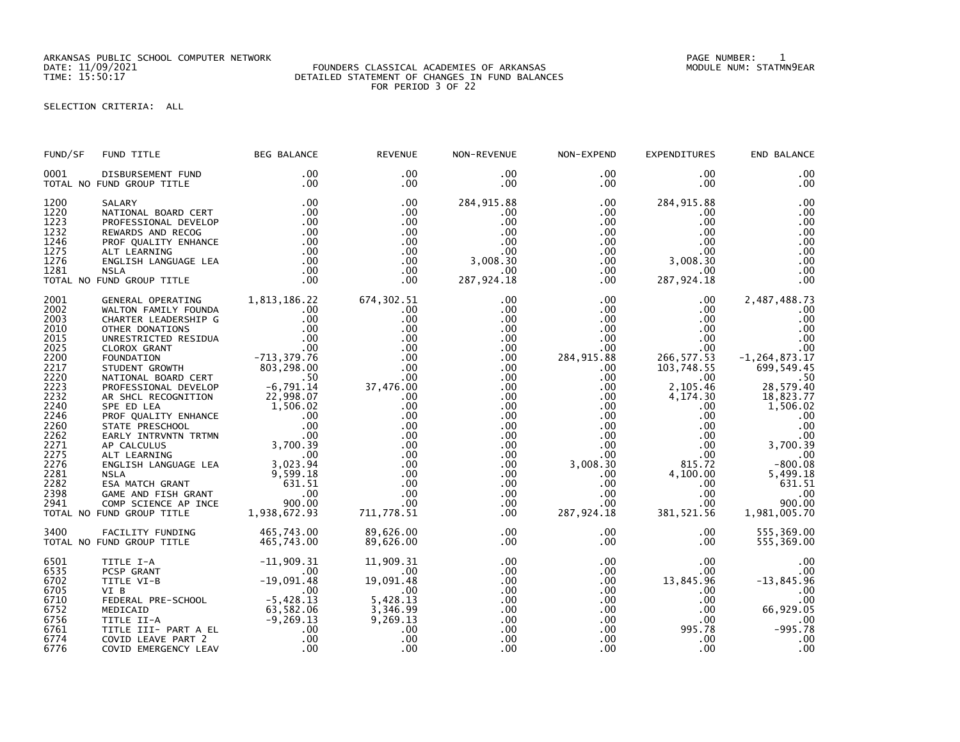ARKANSAS PUBLIC SCHOOL COMPUTER NETWORK PAGE NUMBER: 1

### DATE: 11/09/2021 FOUNDERS CLASSICAL ACADEMIES OF ARKANSAS MODULE NUM: STATMN9EAR TIME: 15:50:17 DETAILED STATEMENT OF CHANGES IN FUND BALANCES FOR PERIOD 3 OF 22

# SELECTION CRITERIA: ALL

| FUND/SF      | FUND TITLE                                                                              | <b>BEG BALANCE</b>                                                  | <b>REVENUE</b>         | NON-REVENUE          | NON-EXPEND           | <b>EXPENDITURES</b>     | END BALANCE           |
|--------------|-----------------------------------------------------------------------------------------|---------------------------------------------------------------------|------------------------|----------------------|----------------------|-------------------------|-----------------------|
| 0001         | DISBURSEMENT FUND                                                                       | .00                                                                 | .00                    | .00                  | $.00 \,$             | $.00 \,$                | .00                   |
|              | TOTAL NO FUND GROUP TITLE                                                               | .00                                                                 | $.00 \times$           | $.00 \,$             | $.00 \,$             | $.00 \,$                | .00                   |
| 1200         | SALARY                                                                                  | .00                                                                 | .00                    | 284, 915.88          | $.00 \,$             | 284, 915.88             | .00                   |
| 1220         | NATIONAL BOARD CERT                                                                     | .00                                                                 | .00                    | .00                  | $.00 \,$             | .00                     | .00                   |
| 1223         | PROFESSIONAL DEVELOP                                                                    | .00                                                                 | .00                    | .00                  | $.00 \,$             | .00                     | .00                   |
| 1232         | REWARDS AND RECOG                                                                       | .00                                                                 | .00                    | .00                  | .00 <sub>1</sub>     | $.00 \,$                | .00                   |
| 1246         | PROF QUALITY ENHANCE                                                                    | .00                                                                 | .00                    | .00                  | .00                  | $.00 \cdot$             | .00                   |
| 1275         | ALT LEARNING                                                                            | .00                                                                 | .00                    | .00                  | $.00\,$              | $.00 \,$                | .00                   |
| 1276         | ENGLISH LANGUAGE LEA                                                                    | .00                                                                 | .00                    | 3,008.30             | $.00 \,$             | 3,008.30                | .00                   |
| 1281         | <b>NSLA</b>                                                                             | .00                                                                 | $.00 \,$               | $.00 \,$             | $.00 \,$             | $.00 \,$                | .00                   |
|              | TOTAL NO FUND GROUP TITLE                                                               | .00                                                                 | $.00 \times$           | 287,924.18           | .00                  | 287,924.18              | .00                   |
|              |                                                                                         |                                                                     |                        |                      |                      |                         |                       |
| 2001         | GENERAL OPERATING                                                                       | 1,813,186.22                                                        | 674,302.51             | .00                  | $.00 \,$             | .00                     | 2,487,488.73          |
| 2002         | WALTON FAMILY FOUNDA                                                                    | .00                                                                 | .00                    | .00                  | $.00 \,$             | $.00 \,$                | .00                   |
| 2003         | CHARTER LEADERSHIP G                                                                    | .00                                                                 | .00                    | .00                  | .00 <sub>1</sub>     | $.00 \,$                | .00                   |
| 2010         | OTHER DONATIONS                                                                         | $\overline{\phantom{0}}$ .00                                        | .00                    | .00                  | $.00 \,$             | $.00 \,$                | .00                   |
| 2015         | UNRESTRICTED RESIDUA                                                                    |                                                                     | .00                    | .00                  | $.00 \,$             | $.00 \,$                | .00                   |
| 2025         | CLOROX GRANT                                                                            | 00<br>00.<br>713 , 379 . 76 –                                       | .00                    | .00                  | .00                  | $.00 \,$                | .00                   |
| 2200         | FOUNDATION                                                                              |                                                                     | .00                    | .00                  | 284, 915.88          | 266, 577.53             | $-1, 264, 873.17$     |
| 2217<br>2220 | STUDENT GROWTH<br>NATIONAL BOARD CERT                                                   | 803,298.00                                                          | .00<br>.00             | .00<br>.00           | $.00 \,$<br>$.00 \,$ | 103,748.55<br>$.00\,$   | 699, 549.45           |
| 2223         | PROFESSIONAL DEVELOP                                                                    |                                                                     | 37,476.00              | $.00 \,$             | $.00 \,$             | 2,105.46                | 28,579.40             |
| 2232         | AR SHCL RECOGNITION                                                                     |                                                                     | .00                    | $.00 \,$             | $.00\,$              | 4,174.30                | 18,823.77             |
| 2240         | SPE ED LEA                                                                              | $50$<br>$-6, 791.14$<br>$22, 998.07$<br>$1, 506.02$<br>$00$<br>$00$ | .00                    | $.00 \,$             | .00 <sub>1</sub>     | $.00 \,$                | 1,506.02              |
| 2246         | PROF QUALITY ENHANCE                                                                    |                                                                     | .00                    | .00                  | $.00\,$              | $.00 \,$                | .00                   |
| 2260         | STATE PRESCHOOL                                                                         |                                                                     | .00                    | $.00 \,$             | $.00\,$              | $.00 \,$                | .00                   |
| 2262         | EARLY INTRVNTN TRTMN                                                                    | TMN<br>3,700.39<br>0.00<br>20 20 20 30                              | .00                    | $.00 \,$             | .00 <sub>1</sub>     | $.00\,$                 | .00                   |
| 2271         | AP CALCULUS                                                                             |                                                                     | .00                    | .00                  | $.00\,$              | .00                     | 3,700.39              |
| 2275         | ALT LEARNING<br>ENGLISH LANGUAGE LEA 3,023.94<br>NSLA 9,599.18<br>TA MATCH GRANT 631.51 |                                                                     | .00                    | $.00 \,$             | $.00\,$              | $.00 \,$                | .00                   |
| 2276<br>2281 |                                                                                         |                                                                     | .00<br>.00             | $.00 \,$<br>$.00 \,$ | 3,008.30<br>$.00 \,$ | 815.72<br>4,100.00      | $-800.08$<br>5,499.18 |
| 2282<br>2398 | <b>ESA MATCH GRANT<br/>GAME AND FISH GRANT</b>                                          | .00                                                                 | .00<br>.00             | $.00 \,$<br>$.00 \,$ | $.00 \,$<br>$.00\,$  | $.00 \,$<br>$.00 \ \,$  | 631.51<br>.00         |
| 2941         | COMP SCIENCE AP INCE                                                                    | 900.00                                                              | .00                    | .00                  | .00                  | .00.                    | 900.00                |
|              | TOTAL NO FUND GROUP TITLE                                                               | 1,938,672.93                                                        | 711,778.51             | .00                  | 287,924.18           | 381, 521.56             | 1,981,005.70          |
|              |                                                                                         |                                                                     |                        |                      |                      |                         |                       |
| 3400         | FACILITY FUNDING                                                                        | 465,743.00                                                          | 89,626.00              | $.00 \,$             | $.00 \,$             | $.00 \,$                | 555,369.00            |
|              | TOTAL NO FUND GROUP TITLE                                                               | 465,743.00                                                          | 89,626.00              | $.00 \,$             | $.00 \,$             | $.00 \,$                | 555,369.00            |
| 6501         | TITLE I-A                                                                               | $-11,909.31$                                                        | 11,909.31              | .00                  | $.00 \,$             | $.00 \ \,$              | .00                   |
| 6535         | PCSP GRANT                                                                              | .00                                                                 | .00                    | .00                  | $.00 \,$             | $.00 \,$                | .00                   |
| 6702         | TITLE VI-B                                                                              | $-19,091.48$                                                        | 19,091.48              | .00                  | .00                  | 13,845.96               | $-13,845.96$          |
| 6705<br>6710 | VI B                                                                                    | .00                                                                 | .00<br>5,428.13        | .00.<br>$.00 \,$     | .00<br>$.00 \,$      | $.00 \cdot$<br>$.00 \,$ | .00<br>.00            |
| 6752         |                                                                                         |                                                                     | 3, 346.99<br>9, 269.13 | .00                  | $.00 \,$             | $.00 \,$                | 66,929.05             |
| 6756<br>6761 |                                                                                         |                                                                     | .00                    | $.00 \,$<br>$.00 \,$ | $.00\,$<br>$.00 \,$  | $.00 \,$<br>995.78      | 00.<br>995.78–        |
| 6774<br>6776 | COVID EMERGENCY LEAV                                                                    | .00                                                                 | .00<br>.00             | .00<br>.00           | $.00 \,$<br>.00      | $.00 \,$<br>.00         | .00<br>.00            |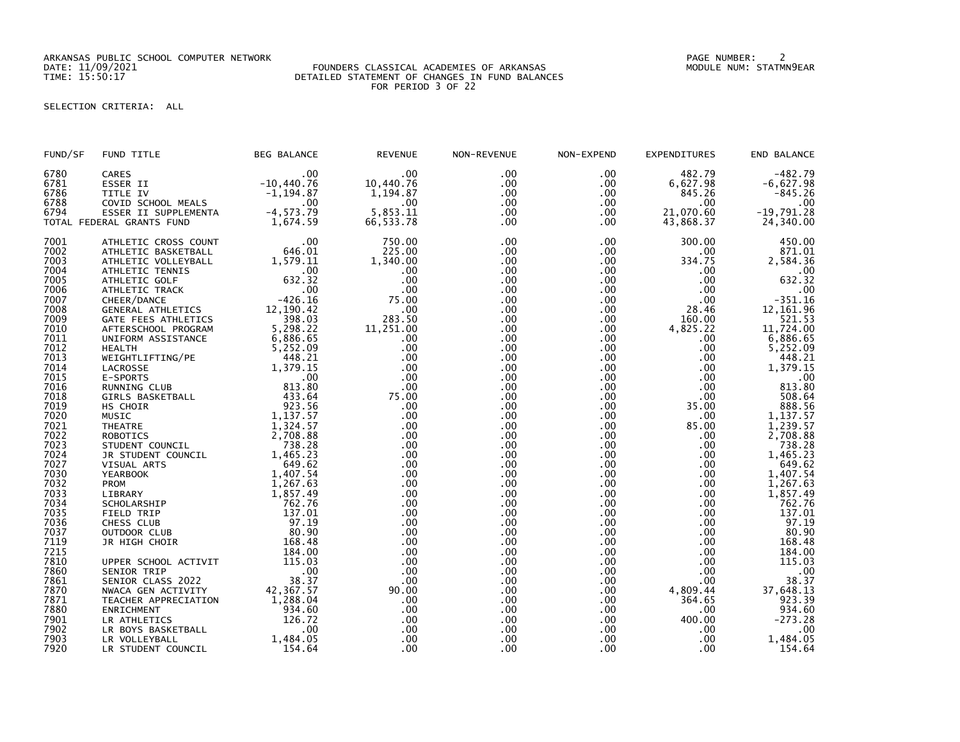ARKANSAS PUBLIC SCHOOL COMPUTER NETWORK PAGE NUMBER: 2

### DATE: 11/09/2021 FOUNDERS CLASSICAL ACADEMIES OF ARKANSAS MODULE NUM: STATMN9EAR TIME: 15:50:17 DETAILED STATEMENT OF CHANGES IN FUND BALANCES FOR PERIOD 3 OF 22

# SELECTION CRITERIA: ALL

| FUND/SF | FUND TITLE                | <b>BEG BALANCE</b> | <b>REVENUE</b> | NON-REVENUE | NON-EXPEND   | <b>EXPENDITURES</b> | END BALANCE        |
|---------|---------------------------|--------------------|----------------|-------------|--------------|---------------------|--------------------|
| 6780    | <b>CARES</b>              | .00                | .00            | .00         | .00.         | 482.79              | $-482.79$          |
| 6781    | ESSER II                  | $-10,440.76$       | 10,440.76      | .00         | $.00 \,$     | 6,627.98            | $-6,627.98$        |
| 6786    | TITLE IV                  | $-1, 194.87$       | 1,194.87       | .00         | .00          | 845.26              | $-845.26$          |
| 6788    | COVID SCHOOL MEALS        | $.00 \times$       | $.00 \,$       | .00         | .00          | .00.                | .00                |
| 6794    | ESSER II SUPPLEMENTA      | $-4, 573.79$       | 5,853.11       | .00         | $.00 \,$     | 21,070.60           | $-19,791.28$       |
|         | TOTAL FEDERAL GRANTS FUND | 1,674.59           | 66,533.78      | .00         | $.00 \,$     | 43,868.37           | 24,340.00          |
| 7001    | ATHLETIC CROSS COUNT      | .00                | 750.00         | .00         | .00          | 300.00              | 450.00             |
| 7002    | ATHLETIC BASKETBALL       | 646.01             | 225.00         | .00         | $.00 \,$     | .00.                | 871.01             |
| 7003    | ATHLETIC VOLLEYBALL       | 1,579.11           | 1,340.00       | .00         | $.00 \,$     | 334.75              | 2,584.36           |
| 7004    | ATHLETIC TENNIS           | $.00 \,$           | .00            | .00         | $.00 \,$     | .00.                | .00                |
| 7005    | ATHLETIC GOLF             | 632.32             | .00            | .00         | $.00 \,$     | .00                 | 632.32             |
| 7006    | ATHLETIC TRACK            | .00                | .00            | .00         | $.00 \,$     | .00                 | .00                |
| 7007    | CHEER/DANCE               | $-426.16$          | 75.00          | .00         | $.00 \,$     | .00                 | $-351.16$          |
| 7008    | GENERAL ATHLETICS         | 12, 190.42         | .00            | .00         | $.00 \,$     | 28.46               | 12, 161.96         |
| 7009    | GATE FEES ATHLETICS       | 398.03             | 283.50         | .00         | $.00 \,$     | 160.00              | 521.53             |
| 7010    | AFTERSCHOOL PROGRAM       | 5,298.22           | 11,251.00      | .00         | .00.         | 4,825.22            | 11,724.00          |
| 7011    | UNIFORM ASSISTANCE        | 6,886.65           | .00.           | .00         | .00          | .00                 | 6,886.65           |
| 7012    | <b>HEALTH</b>             | 5,252.09           | .00            | .00         | .00          | .00.                | 5,252.09           |
| 7013    | WEIGHTLIFTING/PE          | 448.21             | .00            | .00         | $.00 \,$     | .00                 | 448.21             |
| 7014    | LACROSSE                  | 1,379.15           | .00            | .00         | .00          | .00                 | 1,379.15           |
| 7015    | E-SPORTS                  | $.00 \,$           | $.00 \,$       | .00         | .00          | .00                 | .00                |
| 7016    | RUNNING CLUB              | 813.80             | .00            | .00         | $.00 \,$     | .00                 | 813.80             |
| 7018    | <b>GIRLS BASKETBALL</b>   | 433.64             | 75.00          | .00         | .00          | .00                 | 508.64             |
| 7019    | HS CHOIR                  | 923.56             | .00            | .00         | .00          | 35.00               | 888.56             |
| 7020    | MUSIC                     | 1,137.57           | $.00 \,$       | .00         | .00          | .00.                | 1,137.57           |
| 7021    | <b>THEATRE</b>            | 1,324.57           | .00            | .00         | $.00 \,$     | 85.00               | 1,239.57           |
| 7022    | <b>ROBOTICS</b>           | 2,708.88           | .00            | .00         | .00          | .00                 | 2,708.88           |
| 7023    | STUDENT COUNCIL           | 738.28             | .00            | .00         | .00          | $.00 \,$            | 738.28             |
| 7024    | JR STUDENT COUNCIL        | 1,465.23           | $.00 \,$       | .00         | $.00 \times$ | .00                 | 1,465.23<br>649.62 |
| 7027    | VISUAL ARTS               | 649.62             | .00            | .00         | $.00 \,$     | $.00 \,$            |                    |
| 7030    | <b>YEARBOOK</b>           | 1,407.54           | .00            | .00         | .00          | $.00 \,$            | 1,407.54           |
| 7032    | PROM                      | 1,267.63           | .00            | .00         | $.00 \times$ | .00                 | 1,267.63           |
| 7033    | LIBRARY                   | 1,857.49           | .00            | .00         | $.00 \times$ | .00                 | 1,857.49           |
| 7034    | SCHOLARSHIP               | 762.76             | .00            | .00         | $.00 \,$     | .00                 | 762.76             |
| 7035    | FIELD TRIP                | 137.01             | .00            | .00         | .00          | .00.                | 137.01             |
| 7036    | CHESS CLUB                | 97.19              | $.00 \,$       | .00         | .00          | .00                 | 97.19              |
| 7037    | OUTDOOR CLUB              | 80.90              | .00            | .00         | .00          | $.00 \,$            | 80.90              |
| 7119    | JR HIGH CHOIR             | 168.48             | .00            | .00         | .00          | .00                 | 168.48             |
| 7215    |                           | 184.00             | .00            | .00         | $.00 \,$     | .00                 | 184.00             |
| 7810    | UPPER SCHOOL ACTIVIT      | 115.03             | .00            | .00         | $.00 \,$     | .00                 | 115.03             |
| 7860    | SENIOR TRIP               | .00                | .00            | .00         | .00          | .00                 | .00                |
| 7861    | SENIOR CLASS 2022         | 38.37              | .00            | .00         | .00          | .00                 | 38.37              |
| 7870    | NWACA GEN ACTIVITY        | 42,367.57          | 90.00          | .00         | .00          | 4,809.44            | 37,648.13          |
| 7871    | TEACHER APPRECIATION      | 1,288.04           | .00            | .00         | .00          | 364.65              | 923.39             |
| 7880    | ENRICHMENT                | 934.60             | .00            | .00         | .00          | .00                 | 934.60             |
| 7901    | LR ATHLETICS              | 126.72             | .00            | .00         | $.00 \,$     | 400.00              | $-273.28$          |
| 7902    | LR BOYS BASKETBALL        | .00                | $.00 \,$       | .00         | $.00 \times$ | .00                 | .00                |
| 7903    | LR VOLLEYBALL             | 1,484.05           | .00            | .00         | .00          | .00                 | 1,484.05           |
| 7920    | LR STUDENT COUNCIL        | 154.64             | .00            | .00         | .00          | .00                 | 154.64             |